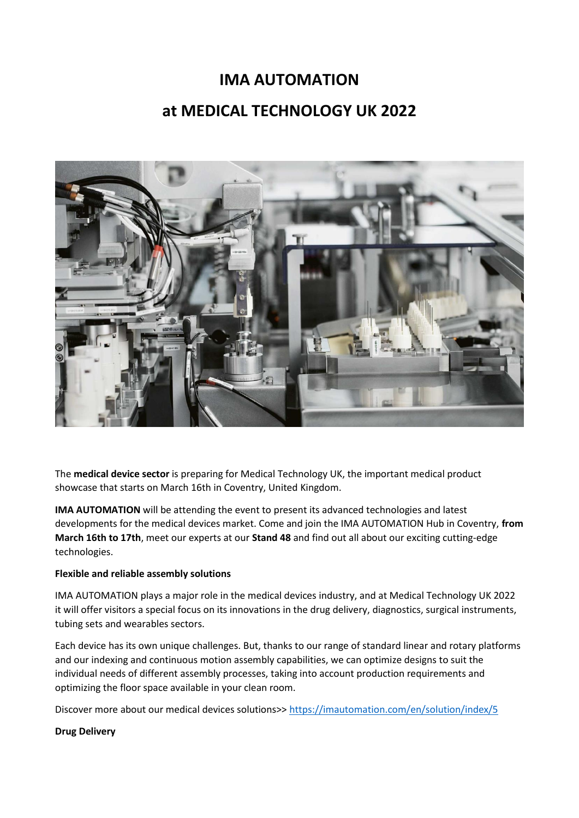# **IMA AUTOMATION at MEDICAL TECHNOLOGY UK 2022**



The **medical device sector** is preparing for Medical Technology UK, the important medical product showcase that starts on March 16th in Coventry, United Kingdom.

**IMA AUTOMATION** will be attending the event to present its advanced technologies and latest developments for the medical devices market. Come and join the IMA AUTOMATION Hub in Coventry, **from March 16th to 17th**, meet our experts at our **Stand 48** and find out all about our exciting cutting-edge technologies.

### **Flexible and reliable assembly solutions**

IMA AUTOMATION plays a major role in the medical devices industry, and at Medical Technology UK 2022 it will offer visitors a special focus on its innovations in the drug delivery, diagnostics, surgical instruments, tubing sets and wearables sectors.

Each device has its own unique challenges. But, thanks to our range of standard linear and rotary platforms and our indexing and continuous motion assembly capabilities, we can optimize designs to suit the individual needs of different assembly processes, taking into account production requirements and optimizing the floor space available in your clean room.

Discover more about our medical devices solutions>[> https://imautomation.com/en/solution/index/5](https://imautomation.com/en/solution/index/5)

#### **Drug Delivery**